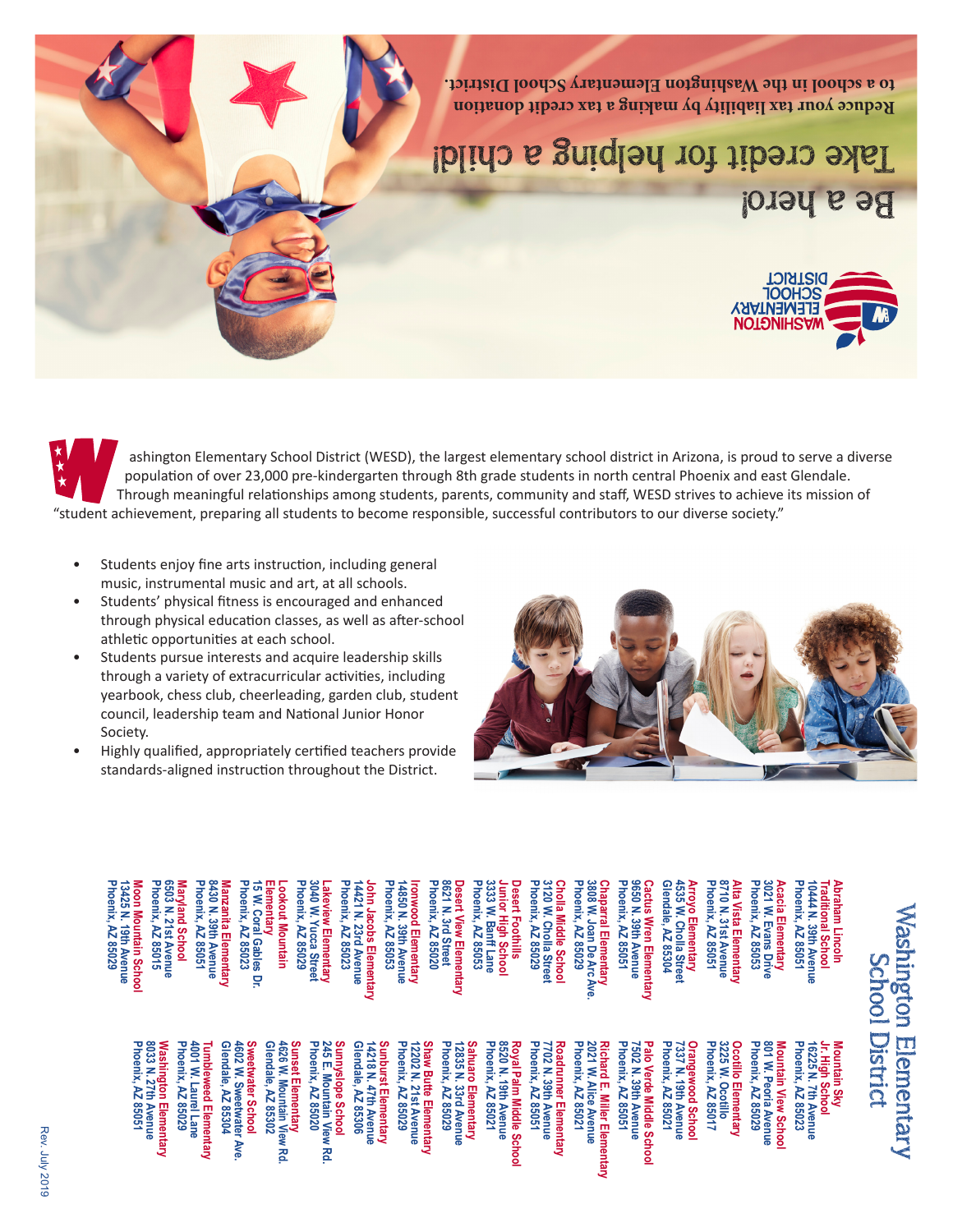

ashington Elementary School District (WESD), the largest elementary school district in Arizona, is proud to serve a diverse population of over 23,000 pre-kindergarten through 8th grade students in north central Phoenix and east Glendale. Through meaningful relationships among students, parents, community and staff, WESD strives to achieve its mission of "student achievement, preparing all students to become responsible, successful contributors to our diverse society."

- Students enjoy fine arts instruction, including general music, instrumental music and art, at all schools.
- Students' physical fitness is encouraged and enhanced through physical education classes, as well as after-school athletic opportunities at each school.
- Students pursue interests and acquire leadership skills through a variety of extracurricular activities, including yearbook, chess club, cheerleading, garden club, student council, leadership team and National Junior Honor Society.
- Highly qualified, appropriately certified teachers provide standards-aligned instruction throughout the District.

Sunnyslope School<br>245 E. Mountain View Rd.<br>Phoenix, AZ 85020



| Maryland School<br>6503 N. 21st Avenue<br>Phoenix, AZ 85015<br>Moon Mountain School<br>13425 N. 19th Avenue<br>Phoenix, AZ 85029 | Manzanita Elementary<br>8430 N. 39th Avenue<br>Phoenix, AZ 85051 | Lookout Mountain<br>Elementary<br>15 W. Coral Gables<br>Phoenix, AZ 85023 | Lakeview Elementary<br>3040 W. Yucca Street<br>Phoenix, AZ 85029 | John Jacobs Elementary<br>14421 N. 23rd Avenue<br>Phoenix, AZ 85023 | Ironwood Elementary<br>14850 N. 39th Avenue<br>Phoenix, AZ 85053 | Desert View Elementary<br>8621 N. 3rd Street<br>Phoenix, AZ 85020 | Desert Foothills<br>Junior High School<br>3333 W. Banff Lane<br>Phoenix, AZ 85053 | Cholla Middle School<br>3120 W. Cholla Street<br>Phoenix, AZ 85029 | Chaparral Elementary<br>3808 W. Joan De Arc Ave<br>Phoenix, AZ 85029 | Cactus Wren Elementary<br>9650 N. 39th Avenue<br>Phoenix, AZ 85051 | Arroyo Elementary<br>4535 W. Cholla Street<br>Glendale, AZ 85304 | Alta Vista Elementary<br>8710 N. 31st Avenue<br>Phoenix, AZ 85051 | Acacia Elementary<br>3021 W. Evans Drive<br>Phoenix, AZ 85053<br>ത് | Abraham Lincoln<br>Traditional School<br>Phoenix, AZ 85051 |
|----------------------------------------------------------------------------------------------------------------------------------|------------------------------------------------------------------|---------------------------------------------------------------------------|------------------------------------------------------------------|---------------------------------------------------------------------|------------------------------------------------------------------|-------------------------------------------------------------------|-----------------------------------------------------------------------------------|--------------------------------------------------------------------|----------------------------------------------------------------------|--------------------------------------------------------------------|------------------------------------------------------------------|-------------------------------------------------------------------|---------------------------------------------------------------------|------------------------------------------------------------|
|----------------------------------------------------------------------------------------------------------------------------------|------------------------------------------------------------------|---------------------------------------------------------------------------|------------------------------------------------------------------|---------------------------------------------------------------------|------------------------------------------------------------------|-------------------------------------------------------------------|-----------------------------------------------------------------------------------|--------------------------------------------------------------------|----------------------------------------------------------------------|--------------------------------------------------------------------|------------------------------------------------------------------|-------------------------------------------------------------------|---------------------------------------------------------------------|------------------------------------------------------------|

Shaw Butte Elementary<br>12202 N. 21st Avenue<br>Phoenix, AZ 85029

penix, AZ 85029

unburst Elementar<br>4218 N. 47th Avenu

endale, AZ 85306

**Sahuaro Elementary Phoenix, AZ 85021 8520 N. 19th Avenue Royal Palm Middle School Phoenix, AZ 85051 7702 N. 39th Avenue Roadrunner Elementary Phoenix, AZ 85021 2021 W. AIice Avenue Richard E. Miller Elementary Phoenix, AZ 85051 7502 N. 39th Avenue Palo Verde Middle School Phoenix, AZ 85021 7337 N. 19th Avenue Orangewood School Phoenix, AZ 85017 3225 W. Ocotillo Ocotillo Elementary Phoenix, AZ 85029 801 W. Peoria Avenue Mountain View School Phoenix, AZ 85023 16225 N. 7th Avenue Jr. High School Mountain Sky**  ichard E. Miller Elementary<br>021 W. Alice Avenue hoenix, AZ 85023 502 N. 39th Avenue rangewood Schoo<br>337 N. 19th Avenue cotillo Elementary<br>225 W. Ocotillo lo Verde Middle School noenix, AZ 85021 noenix, AZ 85017 noenix, AZ 85029 20 N. 19th Avenue<br>oenix, AZ 85021 oenix, AZ 8502 oenix, AZ 85051 huaro Elementary<br>335 N. 33rd Avenu penix, AZ 8505 W. Peoria Avenue ntain View Schoo **Jrunner Elementar**<br>! N. 39th Avenue Palm Middle School Scno<br>Scho

**Phoenix, AZ 85051 8033 N. 27th Avenue Washington Elementary Phoenix, AZ 85029 4001 W. Laurel Lane Tumbleweed Elementary Glendale, AZ 85304 4602 W. Sweetwater Ave. Sweetwater School Glendale, AZ 85302 4626 W. Mountain View Rd. Sunset Elementary Phoenix, AZ 85020 245 E. Mountain View Rd. Sunnyslope School Glendale, AZ 85306 14218 N. 47th Avenue Sunburst Elementary Phoenix, AZ 85029 12202 N. 21st Avenue Shaw Butte Elementary Phoenix, AZ 85029 12835 N. 33rd Avenue**

033 N. 27th Aven<br>Phoenix, AZ 85051

Avenue

shington Elementary

1602 W. Sweetwater<br>Glendale, AZ 85304

HVK

endale, AZ 85302

etwater School

26 W. Mountain View nset Elementary<br>nos we Massission

혼

umbleweed Elementary<br>001 W. Laurel Lane

hoenix, AZ 85029

## Washington Elementary School District chool District ngton Elementary